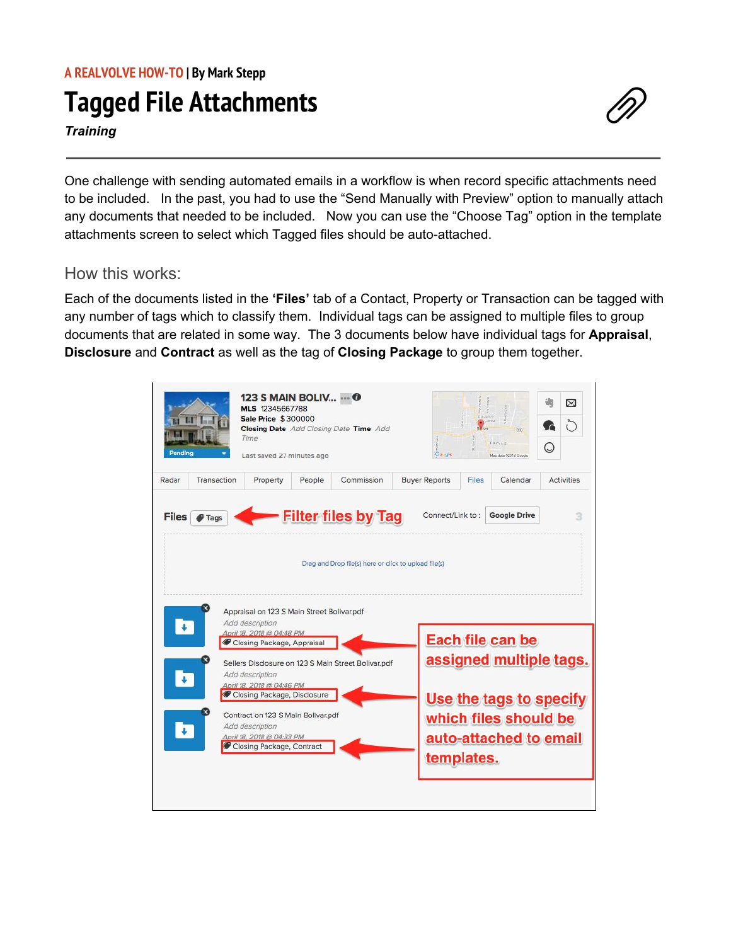## **Tagged File Attachments**

*Training*

One challenge with sending automated emails in a workflow is when record specific attachments need to be included. In the past, you had to use the "Send Manually with Preview" option to manually attach any documents that needed to be included. Now you can use the "Choose Tag" option in the template attachments screen to select which Tagged files should be auto-attached.

## How this works:

Each of the documents listed in the **'Files'** tab of a Contact, Property or Transaction can be tagged with any number of tags which to classify them. Individual tags can be assigned to multiple files to group documents that are related in some way. The 3 documents below have individual tags for **Appraisal**, **Disclosure** and **Contract** as well as the tag of **Closing Package** to group them together.

| H<br>Pendina          | <b>123 S MAIN BOLIV  O</b><br>MLS 12345667788<br><b>Sale Price \$300000</b><br>Time<br>Last saved 27 minutes ago                                                                                                             |        | <b>Closing Date</b> Add Closing Date Time Add                                       | Google               | <b>By Navy</b> | (SE)<br>EBuYaloisi<br>Map data 92018 Google                                                                               | (پ | ⊠<br>$\left( \right)$ |
|-----------------------|------------------------------------------------------------------------------------------------------------------------------------------------------------------------------------------------------------------------------|--------|-------------------------------------------------------------------------------------|----------------------|----------------|---------------------------------------------------------------------------------------------------------------------------|----|-----------------------|
| Transaction<br>Radar  | Property                                                                                                                                                                                                                     | People | Commission                                                                          | <b>Buyer Reports</b> | Files          | Calendar                                                                                                                  |    | <b>Activities</b>     |
| $\sqrt{2}$            | Appraisal on 123 S Main Street Bolivar.pdf<br>Add description<br>April 18, 2018 @ 04:48 PM                                                                                                                                   |        | <b>Filter files by Tag</b><br>Drag and Drop file(s) here or click to upload file(s) |                      |                |                                                                                                                           |    |                       |
| Ŧ<br>$\ddot{\bullet}$ | Closing Package, Appraisal<br>Add description<br>April 18, 2018 @ 04:46 PM<br>Closing Package, Disclosure<br>Contract on 123 S Main Bolivar.pdf<br>Add description<br>April 18, 2018 @ 04:33 PM<br>Closing Package, Contract |        | Sellers Disclosure on 123 S Main Street Bolivar.pdf                                 | templates.           |                | Each file can be<br>assigned multiple tags.<br>Use the tags to specify<br>which files should be<br>auto-attached to email |    |                       |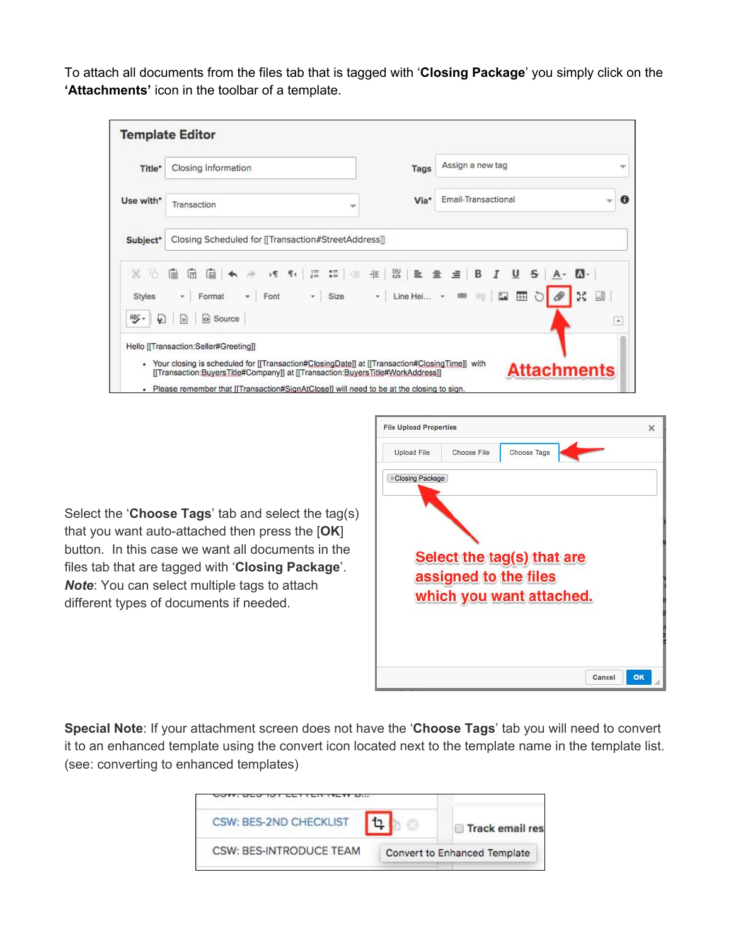To attach all documents from the files tab that is tagged with '**Closing Package**' you simply click on the **'Attachments'** icon in the toolbar of a template.

| Title*                   | Closing Information                                 | Tags | Assign a new tag    | w             |
|--------------------------|-----------------------------------------------------|------|---------------------|---------------|
| Use with*                | Transaction<br>v                                    | Via* | Email-Transactional | o             |
| Subject*                 | Closing Scheduled for [[Transaction#StreetAddress]] |      |                     |               |
| x<br>- In                | 后 眉 一<br>圃                                          |      |                     |               |
| <b>Styles</b><br>账。<br>₩ | o Source<br>$\equiv$                                |      | 22                  | IJ<br>$\star$ |
|                          |                                                     |      |                     |               |

Select the '**Choose Tags**' tab and select the tag(s) that you want auto-attached then press the [**OK**] button. In this case we want all documents in the files tab that are tagged with '**Closing Package**'. *Note*: You can select multiple tags to attach different types of documents if needed.

| <b>Upload File</b>       | Choose File | Choose Tags                |  |
|--------------------------|-------------|----------------------------|--|
| <b>Exclosing Package</b> |             |                            |  |
|                          |             |                            |  |
|                          |             | Select the tag(s) that are |  |
|                          |             | assigned to the files      |  |
|                          |             | which you want attached.   |  |
|                          |             |                            |  |

**Special Note**: If your attachment screen does not have the '**Choose Tags**' tab you will need to convert it to an enhanced template using the convert icon located next to the template name in the template list. (see: converting to enhanced templates)

| CSW: BES-2ND CHECKLIST  | <b>Track email res</b>       |
|-------------------------|------------------------------|
| CSW: BES-INTRODUCE TEAM | Convert to Enhanced Template |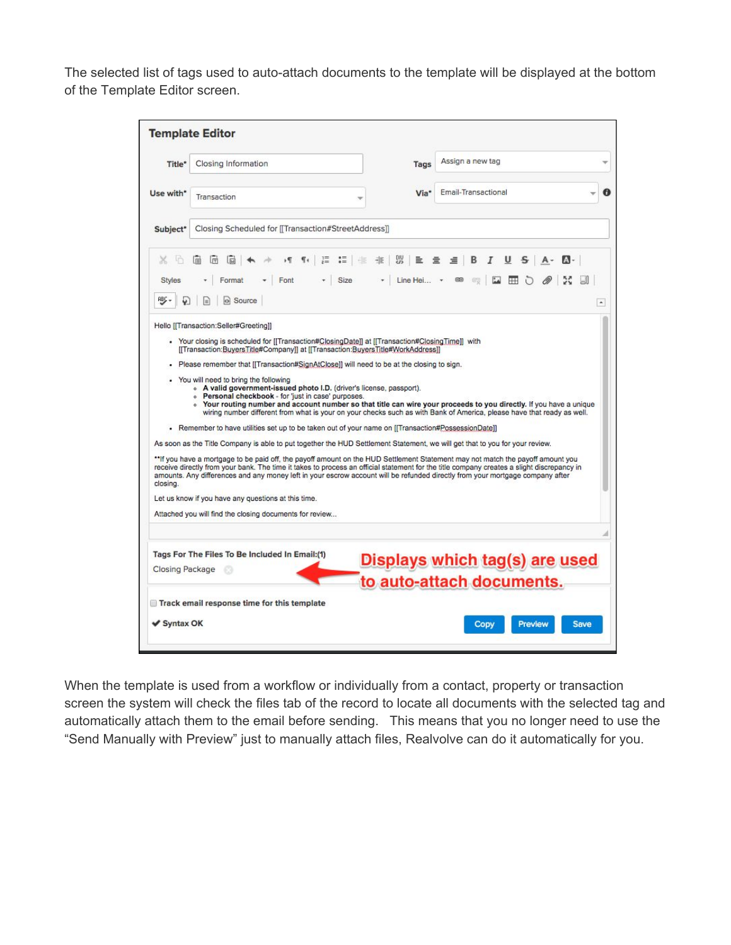The selected list of tags used to auto-attach documents to the template will be displayed at the bottom of the Template Editor screen.

| Title*                        | Closing Information                                                                                                                                                                                                                                                                                                                                                                                                                                                                                                                                                                                                                                                                                                                                                                                                                                                                                                                                                                                                                    | Tags                                                                           | Assign a new tag                                                                                                                                                                                                                              |
|-------------------------------|----------------------------------------------------------------------------------------------------------------------------------------------------------------------------------------------------------------------------------------------------------------------------------------------------------------------------------------------------------------------------------------------------------------------------------------------------------------------------------------------------------------------------------------------------------------------------------------------------------------------------------------------------------------------------------------------------------------------------------------------------------------------------------------------------------------------------------------------------------------------------------------------------------------------------------------------------------------------------------------------------------------------------------------|--------------------------------------------------------------------------------|-----------------------------------------------------------------------------------------------------------------------------------------------------------------------------------------------------------------------------------------------|
| Use with*                     | Transaction                                                                                                                                                                                                                                                                                                                                                                                                                                                                                                                                                                                                                                                                                                                                                                                                                                                                                                                                                                                                                            | Via <sup>*</sup>                                                               | Email-Transactional                                                                                                                                                                                                                           |
| Subject*                      | Closing Scheduled for [[Transaction#StreetAddress]]                                                                                                                                                                                                                                                                                                                                                                                                                                                                                                                                                                                                                                                                                                                                                                                                                                                                                                                                                                                    |                                                                                |                                                                                                                                                                                                                                               |
| h<br>x<br><b>Styles</b><br>哪, | 河 引 三<br>同<br>同<br>同<br>Font<br>$\overline{\phantom{a}}$ Size<br>Format<br>o Source<br>lэ                                                                                                                                                                                                                                                                                                                                                                                                                                                                                                                                                                                                                                                                                                                                                                                                                                                                                                                                              | 這一生<br>非 3<br>亖<br>$\star$ Line Hei $\star$                                    | $\overline{I}$<br>卓<br>B<br>U<br>$S$ $A - A$<br>호<br>▩☞  Ω  ⊞ ଠ<br>$\mathscr{D}$                                                                                                                                                              |
|                               |                                                                                                                                                                                                                                                                                                                                                                                                                                                                                                                                                                                                                                                                                                                                                                                                                                                                                                                                                                                                                                        | [[Transaction:BuyersTitle#Company]] at [[Transaction:BuyersTitle#WorkAddress]] |                                                                                                                                                                                                                                               |
|                               | Please remember that [[Transaction#SignAtClose]] will need to be at the closing to sign.<br>You will need to bring the following<br>• A valid government-issued photo I.D. (driver's license, passport).<br>. Personal checkbook - for 'just in case' purposes.<br>. Remember to have utilities set up to be taken out of your name on [[Transaction#PossessionDate]]<br>As soon as the Title Company is able to put together the HUD Settlement Statement, we will get that to you for your review.<br>**If you have a mortgage to be paid off, the payoff amount on the HUD Settlement Statement may not match the payoff amount you<br>receive directly from your bank. The time it takes to process an official statement for the title company creates a slight discrepancy in<br>amounts. Any differences and any money left in your escrow account will be refunded directly from your mortgage company after<br>Let us know if you have any questions at this time.<br>Attached you will find the closing documents for review |                                                                                | • Your routing number and account number so that title can wire your proceeds to you directly. If you have a unique<br>wiring number different from what is your on your checks such as with Bank of America, please have that ready as well. |
|                               |                                                                                                                                                                                                                                                                                                                                                                                                                                                                                                                                                                                                                                                                                                                                                                                                                                                                                                                                                                                                                                        |                                                                                |                                                                                                                                                                                                                                               |
|                               | Tags For The Files To Be Included In Email:(1)                                                                                                                                                                                                                                                                                                                                                                                                                                                                                                                                                                                                                                                                                                                                                                                                                                                                                                                                                                                         |                                                                                |                                                                                                                                                                                                                                               |
|                               |                                                                                                                                                                                                                                                                                                                                                                                                                                                                                                                                                                                                                                                                                                                                                                                                                                                                                                                                                                                                                                        |                                                                                | Displays which tag(s) are used<br>to auto-attach documents.                                                                                                                                                                                   |
| closing.<br>Closing Package   | Track email response time for this template                                                                                                                                                                                                                                                                                                                                                                                                                                                                                                                                                                                                                                                                                                                                                                                                                                                                                                                                                                                            |                                                                                |                                                                                                                                                                                                                                               |

When the template is used from a workflow or individually from a contact, property or transaction screen the system will check the files tab of the record to locate all documents with the selected tag and automatically attach them to the email before sending. This means that you no longer need to use the "Send Manually with Preview" just to manually attach files, Realvolve can do it automatically for you.